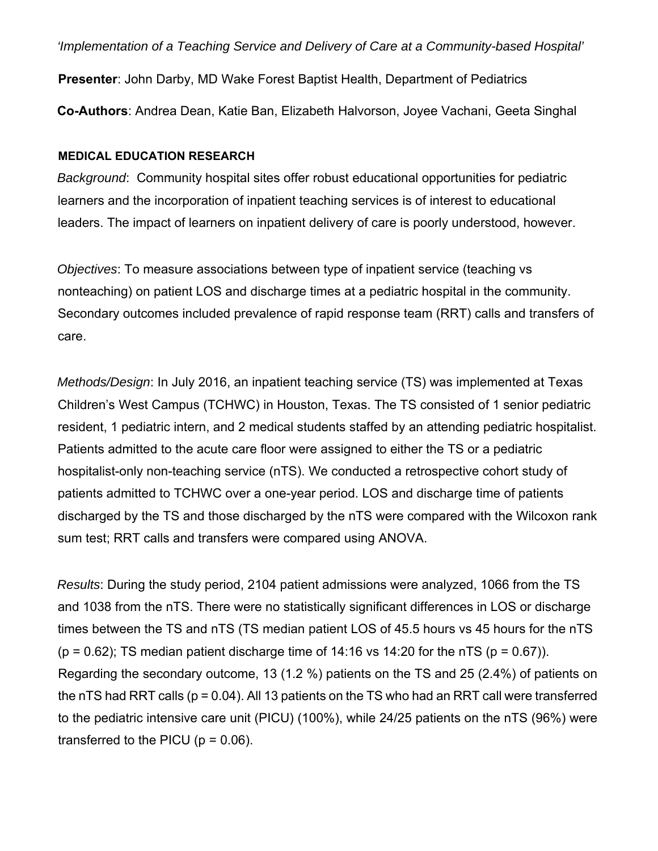*'Implementation of a Teaching Service and Delivery of Care at a Community-based Hospital'* **Presenter**: John Darby, MD Wake Forest Baptist Health, Department of Pediatrics **Co-Authors**: Andrea Dean, Katie Ban, Elizabeth Halvorson, Joyee Vachani, Geeta Singhal

## **MEDICAL EDUCATION RESEARCH**

*Background*: Community hospital sites offer robust educational opportunities for pediatric learners and the incorporation of inpatient teaching services is of interest to educational leaders. The impact of learners on inpatient delivery of care is poorly understood, however.

*Objectives*: To measure associations between type of inpatient service (teaching vs nonteaching) on patient LOS and discharge times at a pediatric hospital in the community. Secondary outcomes included prevalence of rapid response team (RRT) calls and transfers of care.

*Methods/Design*: In July 2016, an inpatient teaching service (TS) was implemented at Texas Children's West Campus (TCHWC) in Houston, Texas. The TS consisted of 1 senior pediatric resident, 1 pediatric intern, and 2 medical students staffed by an attending pediatric hospitalist. Patients admitted to the acute care floor were assigned to either the TS or a pediatric hospitalist-only non-teaching service (nTS). We conducted a retrospective cohort study of patients admitted to TCHWC over a one-year period. LOS and discharge time of patients discharged by the TS and those discharged by the nTS were compared with the Wilcoxon rank sum test; RRT calls and transfers were compared using ANOVA.

*Results*: During the study period, 2104 patient admissions were analyzed, 1066 from the TS and 1038 from the nTS. There were no statistically significant differences in LOS or discharge times between the TS and nTS (TS median patient LOS of 45.5 hours vs 45 hours for the nTS  $(p = 0.62)$ ; TS median patient discharge time of 14:16 vs 14:20 for the nTS ( $p = 0.67$ )). Regarding the secondary outcome, 13 (1.2 %) patients on the TS and 25 (2.4%) of patients on the nTS had RRT calls (p = 0.04). All 13 patients on the TS who had an RRT call were transferred to the pediatric intensive care unit (PICU) (100%), while 24/25 patients on the nTS (96%) were transferred to the PICU  $(p = 0.06)$ .